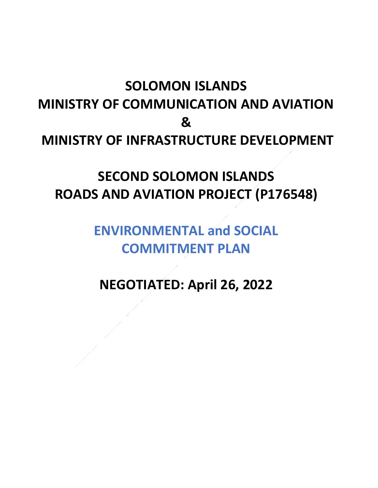## **SOLOMON ISLANDS MINISTRY OF COMMUNICATION AND AVIATION & MINISTRY OF INFRASTRUCTURE DEVELOPMENT**

## **SECOND SOLOMON ISLANDS ROADS AND AVIATION PROJECT (P176548)**

## **ENVIRONMENTAL and SOCIAL COMMITMENT PLAN**

**NEGOTIATED: April 26, 2022**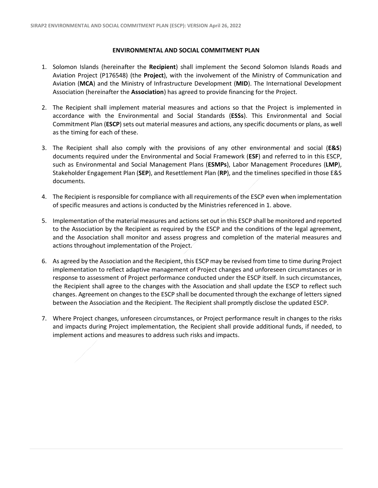## **ENVIRONMENTAL AND SOCIAL COMMITMENT PLAN**

- 1. Solomon Islands (hereinafter the **Recipient**) shall implement the Second Solomon Islands Roads and Aviation Project (P176548) (the **Project**), with the involvement of the Ministry of Communication and Aviation (**MCA**) and the Ministry of Infrastructure Development (**MID**). The International Development Association (hereinafter the **Association**) has agreed to provide financing for the Project.
- 2. The Recipient shall implement material measures and actions so that the Project is implemented in accordance with the Environmental and Social Standards (**ESSs**). This Environmental and Social Commitment Plan (**ESCP**) sets out material measures and actions, any specific documents or plans, as well as the timing for each of these.
- 3. The Recipient shall also comply with the provisions of any other environmental and social (**E&S**) documents required under the Environmental and Social Framework (**ESF**) and referred to in this ESCP, such as Environmental and Social Management Plans (**ESMPs**), Labor Management Procedures (**LMP**), Stakeholder Engagement Plan (**SEP**), and Resettlement Plan (**RP**), and the timelines specified in those E&S documents.
- 4. The Recipient is responsible for compliance with all requirements of the ESCP even when implementation of specific measures and actions is conducted by the Ministries referenced in 1. above.
- 5. Implementation of the material measures and actions set out in this ESCP shall be monitored and reported to the Association by the Recipient as required by the ESCP and the conditions of the legal agreement, and the Association shall monitor and assess progress and completion of the material measures and actions throughout implementation of the Project.
- 6. As agreed by the Association and the Recipient, this ESCP may be revised from time to time during Project implementation to reflect adaptive management of Project changes and unforeseen circumstances or in response to assessment of Project performance conducted under the ESCP itself. In such circumstances, the Recipient shall agree to the changes with the Association and shall update the ESCP to reflect such changes. Agreement on changes to the ESCP shall be documented through the exchange of letters signed between the Association and the Recipient. The Recipient shall promptly disclose the updated ESCP.
- 7. Where Project changes, unforeseen circumstances, or Project performance result in changes to the risks and impacts during Project implementation, the Recipient shall provide additional funds, if needed, to implement actions and measures to address such risks and impacts.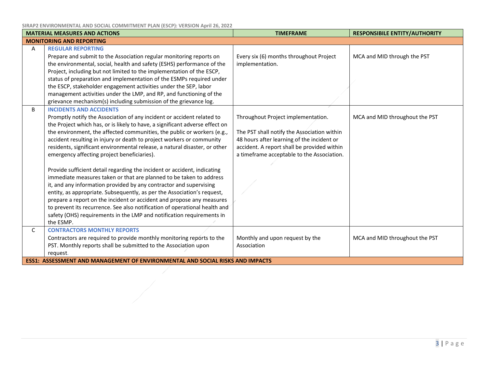**SIRAP2 ENVIRONMENTAL AND SOCIAL COMMITMENT PLAN (ESCP): VERSION April 26, 2022**

| <b>MATERIAL MEASURES AND ACTIONS</b> |                                                                                      | <b>TIMEFRAME</b>                            | <b>RESPONSIBILE ENTITY/AUTHORITY</b> |  |
|--------------------------------------|--------------------------------------------------------------------------------------|---------------------------------------------|--------------------------------------|--|
| <b>MONITORING AND REPORTING</b>      |                                                                                      |                                             |                                      |  |
| A                                    | <b>REGULAR REPORTING</b>                                                             |                                             |                                      |  |
|                                      | Prepare and submit to the Association regular monitoring reports on                  | Every six (6) months throughout Project     | MCA and MID through the PST          |  |
|                                      | the environmental, social, health and safety (ESHS) performance of the               | implementation.                             |                                      |  |
|                                      | Project, including but not limited to the implementation of the ESCP,                |                                             |                                      |  |
|                                      | status of preparation and implementation of the ESMPs required under                 |                                             |                                      |  |
|                                      | the ESCP, stakeholder engagement activities under the SEP, labor                     |                                             |                                      |  |
|                                      | management activities under the LMP, and RP, and functioning of the                  |                                             |                                      |  |
|                                      | grievance mechanism(s) including submission of the grievance log.                    |                                             |                                      |  |
| B                                    | <b>INCIDENTS AND ACCIDENTS</b>                                                       |                                             |                                      |  |
|                                      | Promptly notify the Association of any incident or accident related to               | Throughout Project implementation.          | MCA and MID throughout the PST       |  |
|                                      | the Project which has, or is likely to have, a significant adverse effect on         |                                             |                                      |  |
|                                      | the environment, the affected communities, the public or workers (e.g.,              | The PST shall notify the Association within |                                      |  |
|                                      | accident resulting in injury or death to project workers or community                | 48 hours after learning of the incident or  |                                      |  |
|                                      | residents, significant environmental release, a natural disaster, or other           | accident. A report shall be provided within |                                      |  |
|                                      | emergency affecting project beneficiaries).                                          | a timeframe acceptable to the Association.  |                                      |  |
|                                      |                                                                                      |                                             |                                      |  |
|                                      | Provide sufficient detail regarding the incident or accident, indicating             |                                             |                                      |  |
|                                      | immediate measures taken or that are planned to be taken to address                  |                                             |                                      |  |
|                                      | it, and any information provided by any contractor and supervising                   |                                             |                                      |  |
|                                      | entity, as appropriate. Subsequently, as per the Association's request,              |                                             |                                      |  |
|                                      | prepare a report on the incident or accident and propose any measures                |                                             |                                      |  |
|                                      | to prevent its recurrence. See also notification of operational health and           |                                             |                                      |  |
|                                      | safety (OHS) requirements in the LMP and notification requirements in                |                                             |                                      |  |
|                                      | the ESMP.                                                                            |                                             |                                      |  |
| C                                    | <b>CONTRACTORS MONTHLY REPORTS</b>                                                   |                                             |                                      |  |
|                                      | Contractors are required to provide monthly monitoring reports to the                | Monthly and upon request by the             | MCA and MID throughout the PST       |  |
|                                      | PST. Monthly reports shall be submitted to the Association upon                      | Association                                 |                                      |  |
|                                      | request.                                                                             |                                             |                                      |  |
|                                      | <b>ESS1: ASSESSMENT AND MANAGEMENT OF ENVIRONMENTAL AND SOCIAL RISKS AND IMPACTS</b> |                                             |                                      |  |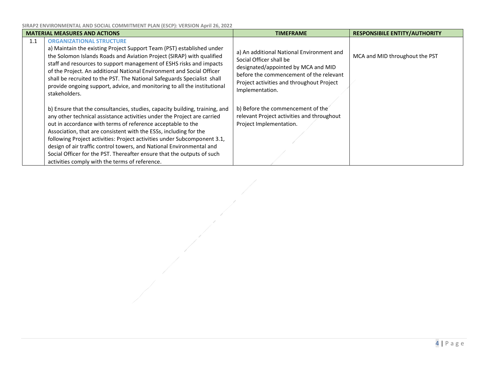**SIRAP2 ENVIRONMENTAL AND SOCIAL COMMITMENT PLAN (ESCP): VERSION April 26, 2022**

| <b>MATERIAL MEASURES AND ACTIONS</b> |                                                                                                                                                                                                                                                                                                                                                                                                                                                                                                                                                                            | <b>TIMEFRAME</b>                                                                                                                                                                                                       | <b>RESPONSIBILE ENTITY/AUTHORITY</b> |
|--------------------------------------|----------------------------------------------------------------------------------------------------------------------------------------------------------------------------------------------------------------------------------------------------------------------------------------------------------------------------------------------------------------------------------------------------------------------------------------------------------------------------------------------------------------------------------------------------------------------------|------------------------------------------------------------------------------------------------------------------------------------------------------------------------------------------------------------------------|--------------------------------------|
| 1.1                                  | <b>ORGANIZATIONAL STRUCTURE</b><br>a) Maintain the existing Project Support Team (PST) established under<br>the Solomon Islands Roads and Aviation Project (SIRAP) with qualified<br>staff and resources to support management of ESHS risks and impacts<br>of the Project. An additional National Environment and Social Officer<br>shall be recruited to the PST. The National Safeguards Specialist shall<br>provide ongoing support, advice, and monitoring to all the institutional<br>stakeholders.                                                                  | a) An additional National Environment and<br>Social Officer shall be<br>designated/appointed by MCA and MID<br>before the commencement of the relevant<br>Project activities and throughout Project<br>Implementation. | MCA and MID throughout the PST       |
|                                      | b) Ensure that the consultancies, studies, capacity building, training, and<br>any other technical assistance activities under the Project are carried<br>out in accordance with terms of reference acceptable to the<br>Association, that are consistent with the ESSs, including for the<br>following Project activities: Project activities under Subcomponent 3.1,<br>design of air traffic control towers, and National Environmental and<br>Social Officer for the PST. Thereafter ensure that the outputs of such<br>activities comply with the terms of reference. | b) Before the commencement of the<br>relevant Project activities and throughout<br>Project Implementation.                                                                                                             |                                      |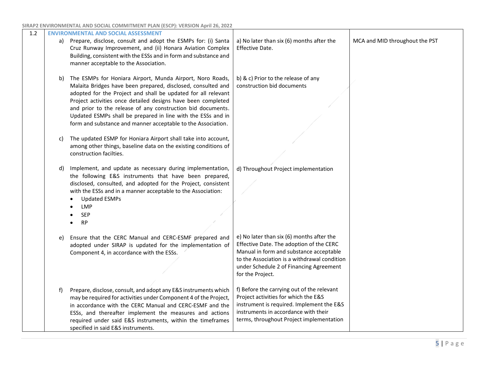| 1.2 |    | <b>ENVIRONMENTAL AND SOCIAL ASSESSMENT</b>                                                                                                                                                                                                                                                                                                                                                                                                                |                                                                                                                                                                                                                                                 |                                |
|-----|----|-----------------------------------------------------------------------------------------------------------------------------------------------------------------------------------------------------------------------------------------------------------------------------------------------------------------------------------------------------------------------------------------------------------------------------------------------------------|-------------------------------------------------------------------------------------------------------------------------------------------------------------------------------------------------------------------------------------------------|--------------------------------|
|     |    | a) Prepare, disclose, consult and adopt the ESMPs for: (i) Santa<br>Cruz Runway Improvement, and (ii) Honara Aviation Complex<br>Building, consistent with the ESSs and in form and substance and<br>manner acceptable to the Association.                                                                                                                                                                                                                | a) No later than six (6) months after the<br>Effective Date.                                                                                                                                                                                    | MCA and MID throughout the PST |
|     | b) | The ESMPs for Honiara Airport, Munda Airport, Noro Roads,<br>Malaita Bridges have been prepared, disclosed, consulted and<br>adopted for the Project and shall be updated for all relevant<br>Project activities once detailed designs have been completed<br>and prior to the release of any construction bid documents.<br>Updated ESMPs shall be prepared in line with the ESSs and in<br>form and substance and manner acceptable to the Association. | b) & c) Prior to the release of any<br>construction bid documents                                                                                                                                                                               |                                |
|     | C) | The updated ESMP for Honiara Airport shall take into account,<br>among other things, baseline data on the existing conditions of<br>construction facilties.                                                                                                                                                                                                                                                                                               |                                                                                                                                                                                                                                                 |                                |
|     | d) | Implement, and update as necessary during implementation,<br>the following E&S instruments that have been prepared,<br>disclosed, consulted, and adopted for the Project, consistent<br>with the ESSs and in a manner acceptable to the Association:<br><b>Updated ESMPs</b><br><b>LMP</b><br><b>SEP</b><br><b>RP</b>                                                                                                                                     | d) Throughout Project implementation                                                                                                                                                                                                            |                                |
|     | e) | Ensure that the CERC Manual and CERC-ESMF prepared and<br>adopted under SIRAP is updated for the implementation of<br>Component 4, in accordance with the ESSs.                                                                                                                                                                                                                                                                                           | e) No later than six (6) months after the<br>Effective Date. The adoption of the CERC<br>Manual in form and substance acceptable<br>to the Association is a withdrawal condition<br>under Schedule 2 of Financing Agreement<br>for the Project. |                                |
|     | f) | Prepare, disclose, consult, and adopt any E&S instruments which<br>may be required for activities under Component 4 of the Project,<br>in accordance with the CERC Manual and CERC-ESMF and the<br>ESSs, and thereafter implement the measures and actions<br>required under said E&S instruments, within the timeframes<br>specified in said E&S instruments.                                                                                            | f) Before the carrying out of the relevant<br>Project activities for which the E&S<br>instrument is required. Implement the E&S<br>instruments in accordance with their<br>terms, throughout Project implementation                             |                                |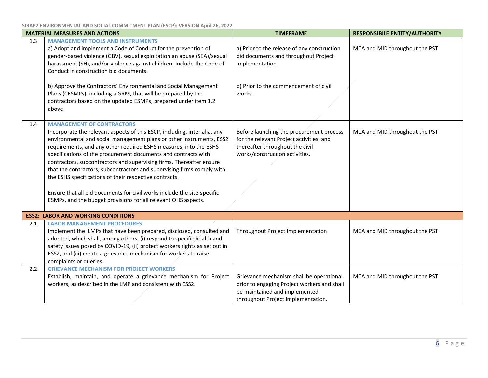**SIRAP2 ENVIRONMENTAL AND SOCIAL COMMITMENT PLAN (ESCP): VERSION April 26, 2022**

| <b>MATERIAL MEASURES AND ACTIONS</b> |                                                                                                                                                                                                                                                                                                                                                                                                                                                                                                                                                                                                                                                                                       | <b>TIMEFRAME</b>                                                                                                                                               | <b>RESPONSIBILE ENTITY/AUTHORITY</b> |
|--------------------------------------|---------------------------------------------------------------------------------------------------------------------------------------------------------------------------------------------------------------------------------------------------------------------------------------------------------------------------------------------------------------------------------------------------------------------------------------------------------------------------------------------------------------------------------------------------------------------------------------------------------------------------------------------------------------------------------------|----------------------------------------------------------------------------------------------------------------------------------------------------------------|--------------------------------------|
| 1.3                                  | <b>MANAGEMENT TOOLS AND INSTRUMENTS</b><br>a) Adopt and implement a Code of Conduct for the prevention of<br>gender-based violence (GBV), sexual exploitation an abuse (SEA)/sexual<br>harassment (SH), and/or violence against children. Include the Code of<br>Conduct in construction bid documents.                                                                                                                                                                                                                                                                                                                                                                               | a) Prior to the release of any construction<br>bid documents and throughout Project<br>implementation                                                          | MCA and MID throughout the PST       |
|                                      | b) Approve the Contractors' Environmental and Social Management<br>Plans (CESMPs), including a GRM, that will be prepared by the<br>contractors based on the updated ESMPs, prepared under item 1.2<br>above                                                                                                                                                                                                                                                                                                                                                                                                                                                                          | b) Prior to the commencement of civil<br>works.                                                                                                                |                                      |
| 1.4                                  | <b>MANAGEMENT OF CONTRACTORS</b><br>Incorporate the relevant aspects of this ESCP, including, inter alia, any<br>environmental and social management plans or other instruments, ESS2<br>requirements, and any other required ESHS measures, into the ESHS<br>specifications of the procurement documents and contracts with<br>contractors, subcontractors and supervising firms. Thereafter ensure<br>that the contractors, subcontractors and supervising firms comply with<br>the ESHS specifications of their respective contracts.<br>Ensure that all bid documents for civil works include the site-specific<br>ESMPs, and the budget provisions for all relevant OHS aspects. | Before launching the procurement process<br>for the relevant Project activities, and<br>thereafter throughout the civil<br>works/construction activities.      | MCA and MID throughout the PST       |
|                                      | <b>ESS2: LABOR AND WORKING CONDITIONS</b>                                                                                                                                                                                                                                                                                                                                                                                                                                                                                                                                                                                                                                             |                                                                                                                                                                |                                      |
| 2.1                                  | <b>LABOR MANAGEMENT PROCEDURES</b><br>Implement the LMPs that have been prepared, disclosed, consulted and<br>adopted, which shall, among others, (i) respond to specific health and<br>safety issues posed by COVID-19, (ii) protect workers rights as set out in<br>ESS2, and (iii) create a grievance mechanism for workers to raise<br>complaints or queries.                                                                                                                                                                                                                                                                                                                     | Throughout Project Implementation                                                                                                                              | MCA and MID throughout the PST       |
| 2.2                                  | <b>GRIEVANCE MECHANISM FOR PROJECT WORKERS</b><br>Establish, maintain, and operate a grievance mechanism for Project<br>workers, as described in the LMP and consistent with ESS2.                                                                                                                                                                                                                                                                                                                                                                                                                                                                                                    | Grievance mechanism shall be operational<br>prior to engaging Project workers and shall<br>be maintained and implemented<br>throughout Project implementation. | MCA and MID throughout the PST       |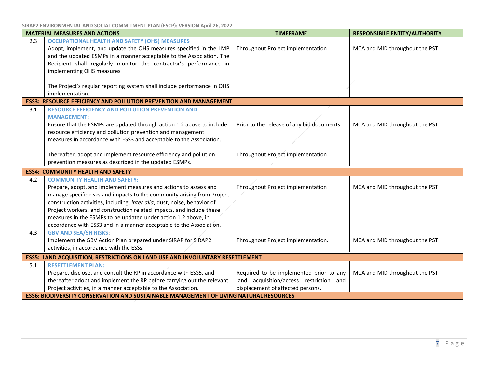| <b>MATERIAL MEASURES AND ACTIONS</b> |                                                                                                                                                                                                                                                                                                                                                                                                                                                                                 | <b>TIMEFRAME</b>                                                                                                        | <b>RESPONSIBILE ENTITY/AUTHORITY</b> |  |
|--------------------------------------|---------------------------------------------------------------------------------------------------------------------------------------------------------------------------------------------------------------------------------------------------------------------------------------------------------------------------------------------------------------------------------------------------------------------------------------------------------------------------------|-------------------------------------------------------------------------------------------------------------------------|--------------------------------------|--|
| 2.3                                  | <b>OCCUPATIONAL HEALTH AND SAFETY (OHS) MEASURES</b><br>Adopt, implement, and update the OHS measures specified in the LMP<br>and the updated ESMPs in a manner acceptable to the Association. The<br>Recipient shall regularly monitor the contractor's performance in<br>implementing OHS measures                                                                                                                                                                            | Throughout Project implementation                                                                                       | MCA and MID throughout the PST       |  |
|                                      | The Project's regular reporting system shall include performance in OHS<br>implementation.                                                                                                                                                                                                                                                                                                                                                                                      |                                                                                                                         |                                      |  |
|                                      | <b>ESS3: RESOURCE EFFICIENCY AND POLLUTION PREVENTION AND MANAGEMENT</b>                                                                                                                                                                                                                                                                                                                                                                                                        |                                                                                                                         |                                      |  |
| 3.1                                  | <b>RESOURCE EFFICIENCY AND POLLUTION PREVENTION AND</b><br><b>MANAGEMENT:</b><br>Ensure that the ESMPs are updated through action 1.2 above to include<br>resource efficiency and pollution prevention and management<br>measures in accordance with ESS3 and acceptable to the Association.                                                                                                                                                                                    | Prior to the release of any bid documents                                                                               | MCA and MID throughout the PST       |  |
|                                      | Thereafter, adopt and implement resource efficiency and pollution<br>prevention measures as described in the updated ESMPs.                                                                                                                                                                                                                                                                                                                                                     | Throughout Project implementation                                                                                       |                                      |  |
|                                      | <b>ESS4: COMMUNITY HEALTH AND SAFETY</b>                                                                                                                                                                                                                                                                                                                                                                                                                                        |                                                                                                                         |                                      |  |
| 4.2                                  | <b>COMMUNITY HEALTH AND SAFETY:</b><br>Prepare, adopt, and implement measures and actions to assess and<br>manage specific risks and impacts to the community arising from Project<br>construction activities, including, inter alia, dust, noise, behavior of<br>Project workers, and construction related impacts, and include these<br>measures in the ESMPs to be updated under action 1.2 above, in<br>accordance with ESS3 and in a manner acceptable to the Association. | Throughout Project implementation                                                                                       | MCA and MID throughout the PST       |  |
| 4.3                                  | <b>GBV AND SEA/SH RISKS:</b><br>Implement the GBV Action Plan prepared under SIRAP for SIRAP2<br>activities, in accordance with the ESSs.                                                                                                                                                                                                                                                                                                                                       | Throughout Project implementation.                                                                                      | MCA and MID throughout the PST       |  |
|                                      | <b>ESS5: LAND ACQUISITION, RESTRICTIONS ON LAND USE AND INVOLUNTARY RESETTLEMENT</b>                                                                                                                                                                                                                                                                                                                                                                                            |                                                                                                                         |                                      |  |
| 5.1                                  | <b>RESETTLEMENT PLAN:</b><br>Prepare, disclose, and consult the RP in accordance with ESS5, and<br>thereafter adopt and implement the RP before carrying out the relevant<br>Project activities, in a manner acceptable to the Association.                                                                                                                                                                                                                                     | Required to be implemented prior to any<br>land acquisition/access restriction and<br>displacement of affected persons. | MCA and MID throughout the PST       |  |
|                                      | <b>ESS6: BIODIVERSITY CONSERVATION AND SUSTAINABLE MANAGEMENT OF LIVING NATURAL RESOURCES</b>                                                                                                                                                                                                                                                                                                                                                                                   |                                                                                                                         |                                      |  |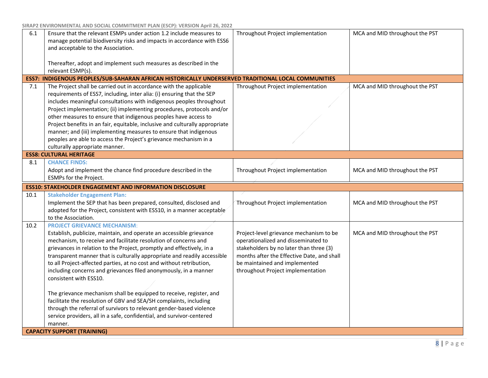| 6.1  | Ensure that the relevant ESMPs under action 1.2 include measures to<br>manage potential biodiversity risks and impacts in accordance with ESS6<br>and acceptable to the Association.                                                                                                                                                                                                                                                                                                                                                                                                                                                                                                                                                                                                                            | Throughout Project implementation                                                                                                                                                                                                             | MCA and MID throughout the PST |  |
|------|-----------------------------------------------------------------------------------------------------------------------------------------------------------------------------------------------------------------------------------------------------------------------------------------------------------------------------------------------------------------------------------------------------------------------------------------------------------------------------------------------------------------------------------------------------------------------------------------------------------------------------------------------------------------------------------------------------------------------------------------------------------------------------------------------------------------|-----------------------------------------------------------------------------------------------------------------------------------------------------------------------------------------------------------------------------------------------|--------------------------------|--|
|      | Thereafter, adopt and implement such measures as described in the<br>relevant ESMP(s).                                                                                                                                                                                                                                                                                                                                                                                                                                                                                                                                                                                                                                                                                                                          |                                                                                                                                                                                                                                               |                                |  |
|      | ESS7: INDIGENOUS PEOPLES/SUB-SAHARAN AFRICAN HISTORICALLY UNDERSERVED TRADITIONAL LOCAL COMMUNITIES                                                                                                                                                                                                                                                                                                                                                                                                                                                                                                                                                                                                                                                                                                             |                                                                                                                                                                                                                                               |                                |  |
| 7.1  | The Project shall be carried out in accordance with the applicable<br>requirements of ESS7, including, inter alia: (i) ensuring that the SEP<br>includes meaningful consultations with indigenous peoples throughout<br>Project implementation; (ii) implementing procedures, protocols and/or<br>other measures to ensure that indigenous peoples have access to<br>Project benefits in an fair, equitable, inclusive and culturally appropriate<br>manner; and (iii) implementing measures to ensure that indigenous<br>peoples are able to access the Project's grievance mechanism in a<br>culturally appropriate manner.                                                                                                                                                                                   | Throughout Project implementation                                                                                                                                                                                                             | MCA and MID throughout the PST |  |
|      | <b>ESS8: CULTURAL HERITAGE</b>                                                                                                                                                                                                                                                                                                                                                                                                                                                                                                                                                                                                                                                                                                                                                                                  |                                                                                                                                                                                                                                               |                                |  |
| 8.1  | <b>CHANCE FINDS:</b><br>Adopt and implement the chance find procedure described in the<br>ESMPs for the Project.                                                                                                                                                                                                                                                                                                                                                                                                                                                                                                                                                                                                                                                                                                | Throughout Project implementation                                                                                                                                                                                                             | MCA and MID throughout the PST |  |
|      |                                                                                                                                                                                                                                                                                                                                                                                                                                                                                                                                                                                                                                                                                                                                                                                                                 |                                                                                                                                                                                                                                               |                                |  |
|      | <b>ESS10: STAKEHOLDER ENGAGEMENT AND INFORMATION DISCLOSURE</b>                                                                                                                                                                                                                                                                                                                                                                                                                                                                                                                                                                                                                                                                                                                                                 |                                                                                                                                                                                                                                               |                                |  |
| 10.1 | <b>Stakeholder Engagement Plan:</b><br>Implement the SEP that has been prepared, consulted, disclosed and<br>adopted for the Project, consistent with ESS10, in a manner acceptable<br>to the Association.                                                                                                                                                                                                                                                                                                                                                                                                                                                                                                                                                                                                      | Throughout Project implementation                                                                                                                                                                                                             | MCA and MID throughout the PST |  |
| 10.2 | <b>PROJECT GRIEVANCE MECHANISM:</b><br>Establish, publicize, maintain, and operate an accessible grievance<br>mechanism, to receive and facilitate resolution of concerns and<br>grievances in relation to the Project, promptly and effectively, in a<br>transparent manner that is culturally appropriate and readily accessible<br>to all Project-affected parties, at no cost and without retribution,<br>including concerns and grievances filed anonymously, in a manner<br>consistent with ESS10.<br>The grievance mechanism shall be equipped to receive, register, and<br>facilitate the resolution of GBV and SEA/SH complaints, including<br>through the referral of survivors to relevant gender-based violence<br>service providers, all in a safe, confidential, and survivor-centered<br>manner. | Project-level grievance mechanism to be<br>operationalized and disseminated to<br>stakeholders by no later than three (3)<br>months after the Effective Date, and shall<br>be maintained and implemented<br>throughout Project implementation | MCA and MID throughout the PST |  |